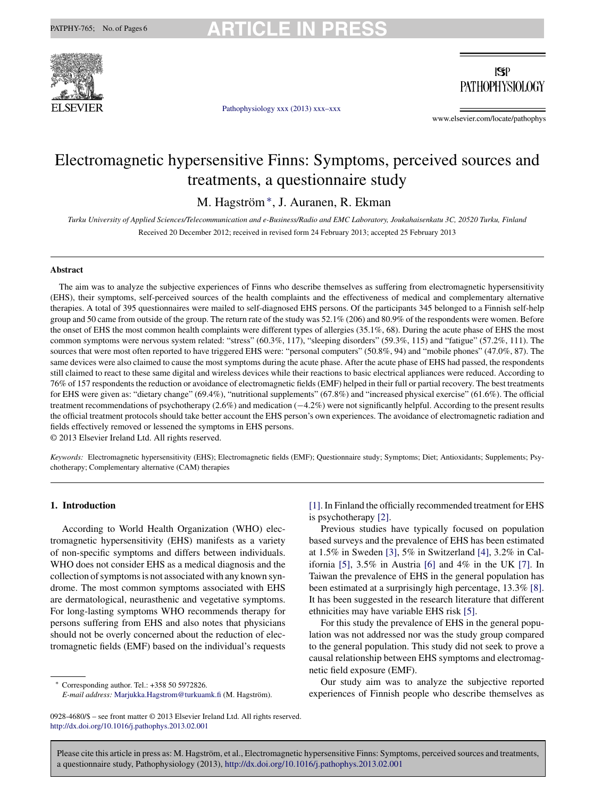

 $ISP$ **PATHOPHYSIOLOGY** 

[Pathophysiology](dx.doi.org/10.1016/j.pathophys.2013.02.001) xxx (2013) xxx–xxx

www.elsevier.com/locate/pathophys

# Electromagnetic hypersensitive Finns: Symptoms, perceived sources and treatments, a questionnaire study

M. Hagström∗, J. Auranen, R. Ekman

Turku University of Applied Sciences/Telecommunication and e-Business/Radio and EMC Laboratory, Joukahaisenkatu 3C, 20520 Turku, Finland Received 20 December 2012; received in revised form 24 February 2013; accepted 25 February 2013

### **Abstract**

The aim was to analyze the subjective experiences of Finns who describe themselves as suffering from electromagnetic hypersensitivity (EHS), their symptoms, self-perceived sources of the health complaints and the effectiveness of medical and complementary alternative therapies. A total of 395 questionnaires were mailed to self-diagnosed EHS persons. Of the participants 345 belonged to a Finnish self-help group and 50 came from outside of the group. The return rate of the study was 52.1% (206) and 80.9% of the respondents were women. Before the onset of EHS the most common health complaints were different types of allergies (35.1%, 68). During the acute phase of EHS the most common symptoms were nervous system related: "stress" (60.3%, 117), "sleeping disorders" (59.3%, 115) and "fatigue" (57.2%, 111). The sources that were most often reported to have triggered EHS were: "personal computers" (50.8%, 94) and "mobile phones" (47.0%, 87). The same devices were also claimed to cause the most symptoms during the acute phase. After the acute phase of EHS had passed, the respondents still claimed to react to these same digital and wireless devices while their reactions to basic electrical appliances were reduced. According to 76% of 157 respondentsthe reduction or avoidance of electromagnetic fields(EMF) helped in their full or partial recovery. The best treatments for EHS were given as: "dietary change" (69.4%), "nutritional supplements" (67.8%) and "increased physical exercise" (61.6%). The official treatment recommendations of psychotherapy (2.6%) and medication (−4.2%) were not significantly helpful. According to the present results the official treatment protocols should take better account the EHS person's own experiences. The avoidance of electromagnetic radiation and fields effectively removed or lessened the symptoms in EHS persons.

© 2013 Elsevier Ireland Ltd. All rights reserved.

*Keywords:* Electromagnetic hypersensitivity (EHS); Electromagnetic fields (EMF); Questionnaire study; Symptoms; Diet; Antioxidants; Supplements; Psychotherapy; Complementary alternative (CAM) therapies

# **1. Introduction**

According to World Health Organization (WHO) electromagnetic hypersensitivity (EHS) manifests as a variety of non-specific symptoms and differs between individuals. WHO does not consider EHS as a medical diagnosis and the collection of symptoms is not associated with any known syndrome. The most common symptoms associated with EHS are dermatological, neurasthenic and vegetative symptoms. For long-lasting symptoms WHO recommends therapy for persons suffering from EHS and also notes that physicians should not be overly concerned about the reduction of electromagnetic fields (EMF) based on the individual's requests

∗ Corresponding author. Tel.: +358 50 5972826.

*E-mail address:* [Marjukka.Hagstrom@turkuamk.fi](mailto:Marjukka.Hagstrom@turkuamk.fi) (M. Hagström).

[\[1\].](#page-5-0) In Finland the officially recommended treatment for EHS is psychotherapy [\[2\].](#page-5-0)

Previous studies have typically focused on population based surveys and the prevalence of EHS has been estimated at 1.5% in Sweden [\[3\],](#page-5-0) 5% in Switzerland [\[4\],](#page-5-0) 3.2% in California [\[5\],](#page-5-0) 3.5% in Austria [\[6\]](#page-5-0) and 4% in the UK [\[7\].](#page-5-0) In Taiwan the prevalence of EHS in the general population has been estimated at a surprisingly high percentage, 13.3% [\[8\].](#page-5-0) It has been suggested in the research literature that different ethnicities may have variable EHS risk [\[5\].](#page-5-0)

For this study the prevalence of EHS in the general population was not addressed nor was the study group compared to the general population. This study did not seek to prove a causal relationship between EHS symptoms and electromagnetic field exposure (EMF).

Our study aim was to analyze the subjective reported experiences of Finnish people who describe themselves as

<sup>0928-4680/\$</sup> – see front matter © 2013 Elsevier Ireland Ltd. All rights reserved. [http://dx.doi.org/10.1016/j.pathophys.2013.02.001](dx.doi.org/10.1016/j.pathophys.2013.02.001)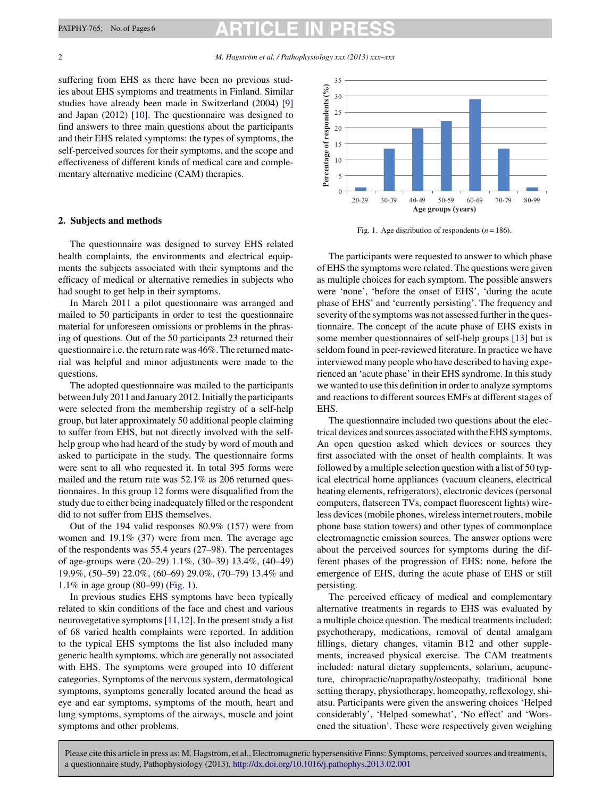suffering from EHS as there have been no previous studies about EHS symptoms and treatments in Finland. Similar studies have already been made in Switzerland (2004) [\[9\]](#page-5-0) and Japan (2012) [\[10\].](#page-5-0) The questionnaire was designed to find answers to three main questions about the participants and their EHS related symptoms: the types of symptoms, the self-perceived sources for their symptoms, and the scope and effectiveness of different kinds of medical care and complementary alternative medicine (CAM) therapies.

### **2. Subjects and methods**

The questionnaire was designed to survey EHS related health complaints, the environments and electrical equipments the subjects associated with their symptoms and the efficacy of medical or alternative remedies in subjects who had sought to get help in their symptoms.

In March 2011 a pilot questionnaire was arranged and mailed to 50 participants in order to test the questionnaire material for unforeseen omissions or problems in the phrasing of questions. Out of the 50 participants 23 returned their questionnaire i.e. the return rate was 46%. The returned material was helpful and minor adjustments were made to the questions.

The adopted questionnaire was mailed to the participants between July 2011 and January 2012.Initially the participants were selected from the membership registry of a self-help group, but later approximately 50 additional people claiming to suffer from EHS, but not directly involved with the selfhelp group who had heard of the study by word of mouth and asked to participate in the study. The questionnaire forms were sent to all who requested it. In total 395 forms were mailed and the return rate was 52.1% as 206 returned questionnaires. In this group 12 forms were disqualified from the study due to either being inadequately filled or the respondent did to not suffer from EHS themselves.

Out of the 194 valid responses 80.9% (157) were from women and 19.1% (37) were from men. The average age of the respondents was 55.4 years (27–98). The percentages of age-groups were (20–29) 1.1%, (30–39) 13.4%, (40–49) 19.9%, (50–59) 22.0%, (60–69) 29.0%, (70–79) 13.4% and 1.1% in age group (80–99) (Fig. 1).

In previous studies EHS symptoms have been typically related to skin conditions of the face and chest and various neurovegetative symptoms [\[11,12\].](#page-5-0) In the present study a list of 68 varied health complaints were reported. In addition to the typical EHS symptoms the list also included many generic health symptoms, which are generally not associated with EHS. The symptoms were grouped into 10 different categories. Symptoms of the nervous system, dermatological symptoms, symptoms generally located around the head as eye and ear symptoms, symptoms of the mouth, heart and lung symptoms, symptoms of the airways, muscle and joint symptoms and other problems.



Fig. 1. Age distribution of respondents  $(n = 186)$ .

The participants were requested to answer to which phase of EHS the symptoms were related. The questions were given as multiple choices for each symptom. The possible answers were 'none', 'before the onset of EHS', 'during the acute phase of EHS' and 'currently persisting'. The frequency and severity of the symptoms was not assessed further in the questionnaire. The concept of the acute phase of EHS exists in some member questionnaires of self-help groups [\[13\]](#page-5-0) but is seldom found in peer-reviewed literature. In practice we have interviewed many people who have described to having experienced an 'acute phase' in their EHS syndrome. In this study we wanted to use this definition in order to analyze symptoms and reactions to different sources EMFs at different stages of EHS.

The questionnaire included two questions about the electrical devices and sources associated with theEHS symptoms. An open question asked which devices or sources they first associated with the onset of health complaints. It was followed by a multiple selection question with a list of 50 typical electrical home appliances (vacuum cleaners, electrical heating elements, refrigerators), electronic devices (personal computers, flatscreen TVs, compact fluorescent lights) wireless devices(mobile phones, wirelessinternet routers, mobile phone base station towers) and other types of commonplace electromagnetic emission sources. The answer options were about the perceived sources for symptoms during the different phases of the progression of EHS: none, before the emergence of EHS, during the acute phase of EHS or still persisting.

The perceived efficacy of medical and complementary alternative treatments in regards to EHS was evaluated by a multiple choice question. The medical treatments included: psychotherapy, medications, removal of dental amalgam fillings, dietary changes, vitamin B12 and other supplements, increased physical exercise. The CAM treatments included: natural dietary supplements, solarium, acupuncture, chiropractic/naprapathy/osteopathy, traditional bone setting therapy, physiotherapy, homeopathy, reflexology, shiatsu. Participants were given the answering choices 'Helped considerably', 'Helped somewhat', 'No effect' and 'Worsened the situation'. These were respectively given weighing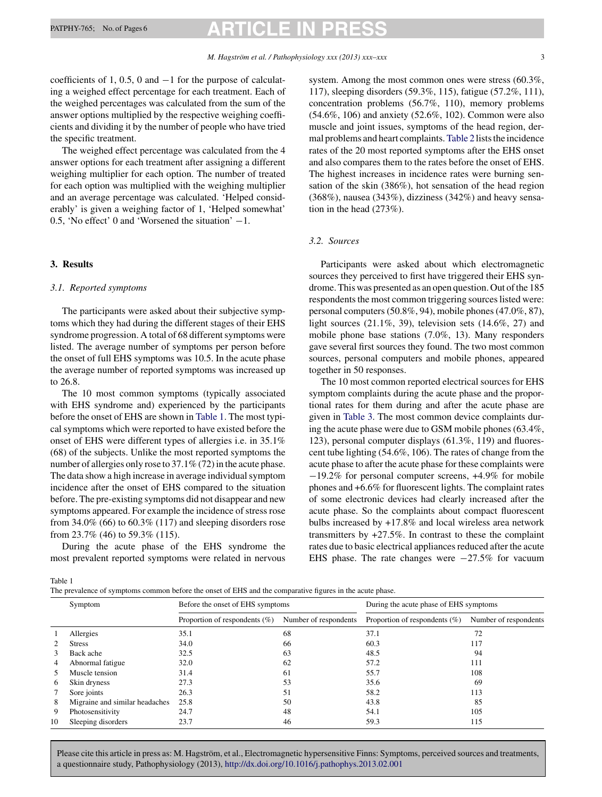coefficients of 1, 0.5, 0 and −1 for the purpose of calculating a weighed effect percentage for each treatment. Each of the weighed percentages was calculated from the sum of the answer options multiplied by the respective weighing coefficients and dividing it by the number of people who have tried the specific treatment.

The weighed effect percentage was calculated from the 4 answer options for each treatment after assigning a different weighing multiplier for each option. The number of treated for each option was multiplied with the weighing multiplier and an average percentage was calculated. 'Helped considerably' is given a weighing factor of 1, 'Helped somewhat' 0.5, 'No effect' 0 and 'Worsened the situation' −1.

# **3. Results**

### *3.1. Reported symptoms*

The participants were asked about their subjective symptoms which they had during the different stages of their EHS syndrome progression. A total of 68 different symptoms were listed. The average number of symptoms per person before the onset of full EHS symptoms was 10.5. In the acute phase the average number of reported symptoms was increased up to 26.8.

The 10 most common symptoms (typically associated with EHS syndrome and) experienced by the participants before the onset of EHS are shown in Table 1. The most typical symptoms which were reported to have existed before the onset of EHS were different types of allergies i.e. in 35.1% (68) of the subjects. Unlike the most reported symptoms the number of allergies only rose to  $37.1\%$  (72) in the acute phase. The data show a high increase in average individual symptom incidence after the onset of EHS compared to the situation before. The pre-existing symptoms did not disappear and new symptoms appeared. For example the incidence of stress rose from 34.0% (66) to 60.3% (117) and sleeping disorders rose from 23.7% (46) to 59.3% (115).

During the acute phase of the EHS syndrome the most prevalent reported symptoms were related in nervous

system. Among the most common ones were stress (60.3%, 117), sleeping disorders (59.3%, 115), fatigue (57.2%, 111), concentration problems (56.7%, 110), memory problems (54.6%, 106) and anxiety (52.6%, 102). Common were also muscle and joint issues, symptoms of the head region, der-mal problems and heart complaints. [Table](#page-3-0) 2 lists the incidence rates of the 20 most reported symptoms after the EHS onset and also compares them to the rates before the onset of EHS. The highest increases in incidence rates were burning sensation of the skin (386%), hot sensation of the head region  $(368\%)$ , nausea  $(343\%)$ , dizziness  $(342\%)$  and heavy sensation in the head (273%).

# *3.2. Sources*

Participants were asked about which electromagnetic sources they perceived to first have triggered their EHS syndrome. This was presented as an open question. Out of the 185 respondents the most common triggering sources listed were: personal computers(50.8%, 94), mobile phones(47.0%, 87), light sources (21.1%, 39), television sets (14.6%, 27) and mobile phone base stations (7.0%, 13). Many responders gave several first sources they found. The two most common sources, personal computers and mobile phones, appeared together in 50 responses.

The 10 most common reported electrical sources for EHS symptom complaints during the acute phase and the proportional rates for them during and after the acute phase are given in [Table](#page-3-0) 3. The most common device complaints during the acute phase were due to GSM mobile phones (63.4%, 123), personal computer displays (61.3%, 119) and fluorescent tube lighting (54.6%, 106). The rates of change from the acute phase to after the acute phase for these complaints were −19.2% for personal computer screens, +4.9% for mobile phones and +6.6% for fluorescent lights. The complaint rates of some electronic devices had clearly increased after the acute phase. So the complaints about compact fluorescent bulbs increased by +17.8% and local wireless area network transmitters by  $+27.5\%$ . In contrast to these the complaint rates due to basic electrical appliances reduced after the acute EHS phase. The rate changes were  $-27.5\%$  for vacuum

Table 1

The prevalence of symptoms common before the onset of EHS and the comparative figures in the acute phase.

|    | Symptom                        | Before the onset of EHS symptoms |                       | During the acute phase of EHS symptoms |                       |
|----|--------------------------------|----------------------------------|-----------------------|----------------------------------------|-----------------------|
|    |                                | Proportion of respondents $(\%)$ | Number of respondents | Proportion of respondents $(\% )$      | Number of respondents |
|    | Allergies                      | 35.1                             | 68                    | 37.1                                   | 72                    |
| 2  | <b>Stress</b>                  | 34.0                             | 66                    | 60.3                                   | 117                   |
| 3  | Back ache                      | 32.5                             | 63                    | 48.5                                   | 94                    |
| 4  | Abnormal fatigue               | 32.0                             | 62                    | 57.2                                   | 111                   |
| 5  | Muscle tension                 | 31.4                             | 61                    | 55.7                                   | 108                   |
| 6  | Skin dryness                   | 27.3                             | 53                    | 35.6                                   | 69                    |
| 7  | Sore joints                    | 26.3                             | 51                    | 58.2                                   | 113                   |
| 8  | Migraine and similar headaches | 25.8                             | 50                    | 43.8                                   | 85                    |
| 9  | Photosensitivity               | 24.7                             | 48                    | 54.1                                   | 105                   |
| 10 | Sleeping disorders             | 23.7                             | 46                    | 59.3                                   | 115                   |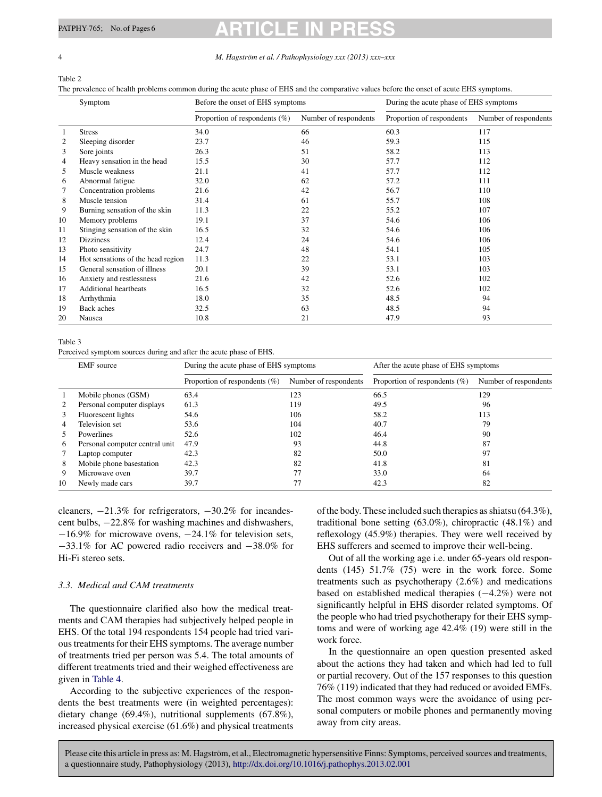<span id="page-3-0"></span>4 *M. Hagström et al. / Pathophysiology xxx (2013) xxx–xxx*

Table 2

The prevalence of health problems common during the acute phase of EHS and the comparative values before the onset of acute EHS symptoms.

|    | Symptom                           | Before the onset of EHS symptoms |                       | During the acute phase of EHS symptoms |                       |
|----|-----------------------------------|----------------------------------|-----------------------|----------------------------------------|-----------------------|
|    |                                   | Proportion of respondents (%)    | Number of respondents | Proportion of respondents              | Number of respondents |
|    | <b>Stress</b>                     | 34.0                             | 66                    | 60.3                                   | 117                   |
| 2  | Sleeping disorder                 | 23.7                             | 46                    | 59.3                                   | 115                   |
| 3  | Sore joints                       | 26.3                             | 51                    | 58.2                                   | 113                   |
| 4  | Heavy sensation in the head       | 15.5                             | 30                    | 57.7                                   | 112                   |
| 5  | Muscle weakness                   | 21.1                             | 41                    | 57.7                                   | 112                   |
| 6  | Abnormal fatigue                  | 32.0                             | 62                    | 57.2                                   | 111                   |
|    | Concentration problems            | 21.6                             | 42                    | 56.7                                   | 110                   |
| 8  | Muscle tension                    | 31.4                             | 61                    | 55.7                                   | 108                   |
| 9  | Burning sensation of the skin     | 11.3                             | 22                    | 55.2                                   | 107                   |
| 10 | Memory problems                   | 19.1                             | 37                    | 54.6                                   | 106                   |
| 11 | Stinging sensation of the skin    | 16.5                             | 32                    | 54.6                                   | 106                   |
| 12 | <b>Dizziness</b>                  | 12.4                             | 24                    | 54.6                                   | 106                   |
| 13 | Photo sensitivity                 | 24.7                             | 48                    | 54.1                                   | 105                   |
| 14 | Hot sensations of the head region | 11.3                             | 22                    | 53.1                                   | 103                   |
| 15 | General sensation of illness      | 20.1                             | 39                    | 53.1                                   | 103                   |
| 16 | Anxiety and restlessness          | 21.6                             | 42                    | 52.6                                   | 102                   |
| 17 | <b>Additional heartbeats</b>      | 16.5                             | 32                    | 52.6                                   | 102                   |
| 18 | Arrhythmia                        | 18.0                             | 35                    | 48.5                                   | 94                    |
| 19 | Back aches                        | 32.5                             | 63                    | 48.5                                   | 94                    |
| 20 | Nausea                            | 10.8                             | 21                    | 47.9                                   | 93                    |

Table 3

Perceived symptom sources during and after the acute phase of EHS.

|    | <b>EMF</b> source              | During the acute phase of EHS symptoms |                       | After the acute phase of EHS symptoms |                       |
|----|--------------------------------|----------------------------------------|-----------------------|---------------------------------------|-----------------------|
|    |                                | Proportion of respondents $(\% )$      | Number of respondents | Proportion of respondents $(\%)$      | Number of respondents |
|    | Mobile phones (GSM)            | 63.4                                   | 123                   | 66.5                                  | 129                   |
| 2  | Personal computer displays     | 61.3                                   | 119                   | 49.5                                  | 96                    |
| 3  | Fluorescent lights             | 54.6                                   | 106                   | 58.2                                  | 113                   |
| 4  | Television set                 | 53.6                                   | 104                   | 40.7                                  | 79                    |
| 5  | Powerlines                     | 52.6                                   | 102                   | 46.4                                  | 90                    |
| 6  | Personal computer central unit | 47.9                                   | 93                    | 44.8                                  | 87                    |
|    | Laptop computer                | 42.3                                   | 82                    | 50.0                                  | 97                    |
| 8  | Mobile phone basestation       | 42.3                                   | 82                    | 41.8                                  | 81                    |
| 9  | Microwave oven                 | 39.7                                   | 77                    | 33.0                                  | 64                    |
| 10 | Newly made cars                | 39.7                                   | 77                    | 42.3                                  | 82                    |

cleaners, −21.3% for refrigerators, −30.2% for incandescent bulbs, −22.8% for washing machines and dishwashers, −16.9% for microwave ovens, −24.1% for television sets, −33.1% for AC powered radio receivers and −38.0% for Hi-Fi stereo sets.

### *3.3. Medical and CAM treatments*

The questionnaire clarified also how the medical treatments and CAM therapies had subjectively helped people in EHS. Of the total 194 respondents 154 people had tried various treatments for their EHS symptoms. The average number of treatments tried per person was 5.4. The total amounts of different treatments tried and their weighed effectiveness are given in [Table](#page-4-0) 4.

According to the subjective experiences of the respondents the best treatments were (in weighted percentages): dietary change (69.4%), nutritional supplements (67.8%), increased physical exercise (61.6%) and physical treatments of the body. These included such therapies as shiatsu  $(64.3\%)$ , traditional bone setting  $(63.0\%)$ , chiropractic  $(48.1\%)$  and reflexology (45.9%) therapies. They were well received by EHS sufferers and seemed to improve their well-being.

Out of all the working age i.e. under 65-years old respondents (145) 51.7% (75) were in the work force. Some treatments such as psychotherapy (2.6%) and medications based on established medical therapies (−4.2%) were not significantly helpful in EHS disorder related symptoms. Of the people who had tried psychotherapy for their EHS symptoms and were of working age 42.4% (19) were still in the work force.

In the questionnaire an open question presented asked about the actions they had taken and which had led to full or partial recovery. Out of the 157 responses to this question 76% (119) indicated that they had reduced or avoided EMFs. The most common ways were the avoidance of using personal computers or mobile phones and permanently moving away from city areas.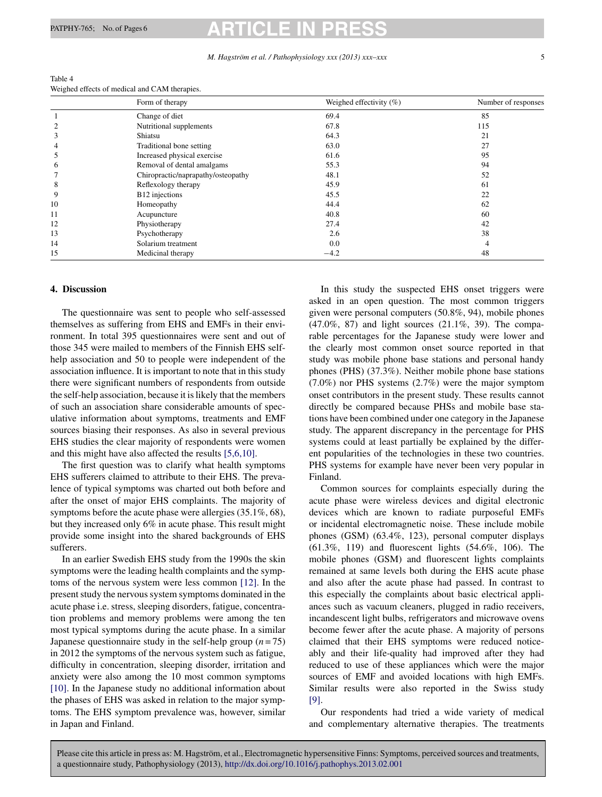### *M. Hagström et al. / Pathophysiology xxx (2013) xxx–xxx* 5

<span id="page-4-0"></span>

| Table 4                                       |  |
|-----------------------------------------------|--|
| Weighed effects of medical and CAM therapies. |  |

|              | Form of therapy                    | Weighed effectivity $(\%)$ | Number of responses |
|--------------|------------------------------------|----------------------------|---------------------|
|              | Change of diet                     | 69.4                       | 85                  |
|              | Nutritional supplements            | 67.8                       | 115                 |
| $\Delta$     | Shiatsu                            | 64.3                       | 21                  |
|              | Traditional bone setting           | 63.0                       | 27                  |
|              | Increased physical exercise        | 61.6                       | 95                  |
| <sub>0</sub> | Removal of dental amalgams         | 55.3                       | 94                  |
|              | Chiropractic/naprapathy/osteopathy | 48.1                       | 52                  |
| 8            | Reflexology therapy                | 45.9                       | 61                  |
| 9            | B <sub>12</sub> injections         | 45.5                       | 22                  |
| 10           | Homeopathy                         | 44.4                       | 62                  |
| 11           | Acupuncture                        | 40.8                       | 60                  |
| 12           | Physiotherapy                      | 27.4                       | 42                  |
| 13           | Psychotherapy                      | 2.6                        | 38                  |
| 14           | Solarium treatment                 | 0.0                        | 4                   |
| 15           | Medicinal therapy                  | $-4.2$                     | 48                  |

# **4. Discussion**

The questionnaire was sent to people who self-assessed themselves as suffering from EHS and EMFs in their environment. In total 395 questionnaires were sent and out of those 345 were mailed to members of the Finnish EHS selfhelp association and 50 to people were independent of the association influence. It is important to note that in this study there were significant numbers of respondents from outside the self-help association, because it is likely that the members of such an association share considerable amounts of speculative information about symptoms, treatments and EMF sources biasing their responses. As also in several previous EHS studies the clear majority of respondents were women and this might have also affected the results [\[5,6,10\].](#page-5-0)

The first question was to clarify what health symptoms EHS sufferers claimed to attribute to their EHS. The prevalence of typical symptoms was charted out both before and after the onset of major EHS complaints. The majority of symptoms before the acute phase were allergies (35.1%, 68), but they increased only 6% in acute phase. This result might provide some insight into the shared backgrounds of EHS sufferers.

In an earlier Swedish EHS study from the 1990s the skin symptoms were the leading health complaints and the symptoms of the nervous system were less common [\[12\].](#page-5-0) In the present study the nervous system symptoms dominated in the acute phase i.e. stress, sleeping disorders, fatigue, concentration problems and memory problems were among the ten most typical symptoms during the acute phase. In a similar Japanese questionnaire study in the self-help group  $(n = 75)$ in 2012 the symptoms of the nervous system such as fatigue, difficulty in concentration, sleeping disorder, irritation and anxiety were also among the 10 most common symptoms [\[10\].](#page-5-0) In the Japanese study no additional information about the phases of EHS was asked in relation to the major symptoms. The EHS symptom prevalence was, however, similar in Japan and Finland.

In this study the suspected EHS onset triggers were asked in an open question. The most common triggers given were personal computers (50.8%, 94), mobile phones (47.0%, 87) and light sources (21.1%, 39). The comparable percentages for the Japanese study were lower and the clearly most common onset source reported in that study was mobile phone base stations and personal handy phones (PHS) (37.3%). Neither mobile phone base stations (7.0%) nor PHS systems (2.7%) were the major symptom onset contributors in the present study. These results cannot directly be compared because PHSs and mobile base stations have been combined under one category in the Japanese study. The apparent discrepancy in the percentage for PHS systems could at least partially be explained by the different popularities of the technologies in these two countries. PHS systems for example have never been very popular in Finland.

Common sources for complaints especially during the acute phase were wireless devices and digital electronic devices which are known to radiate purposeful EMFs or incidental electromagnetic noise. These include mobile phones (GSM) (63.4%, 123), personal computer displays (61.3%, 119) and fluorescent lights (54.6%, 106). The mobile phones (GSM) and fluorescent lights complaints remained at same levels both during the EHS acute phase and also after the acute phase had passed. In contrast to this especially the complaints about basic electrical appliances such as vacuum cleaners, plugged in radio receivers, incandescent light bulbs, refrigerators and microwave ovens become fewer after the acute phase. A majority of persons claimed that their EHS symptoms were reduced noticeably and their life-quality had improved after they had reduced to use of these appliances which were the major sources of EMF and avoided locations with high EMFs. Similar results were also reported in the Swiss study [\[9\].](#page-5-0)

Our respondents had tried a wide variety of medical and complementary alternative therapies. The treatments